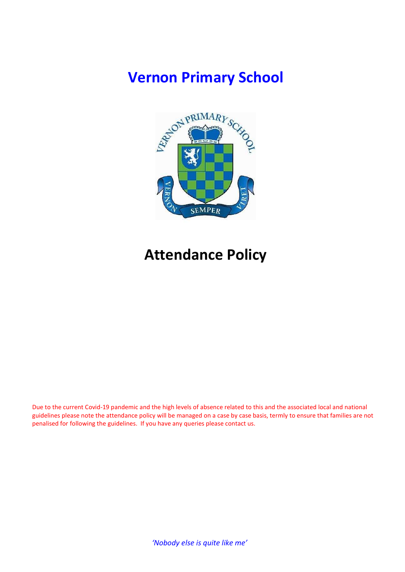# Vernon Primary School



# Attendance Policy

Due to the current Covid-19 pandemic and the high levels of absence related to this and the associated local and national guidelines please note the attendance policy will be managed on a case by case basis, termly to ensure that families are not penalised for following the guidelines. If you have any queries please contact us.

'Nobody else is quite like me'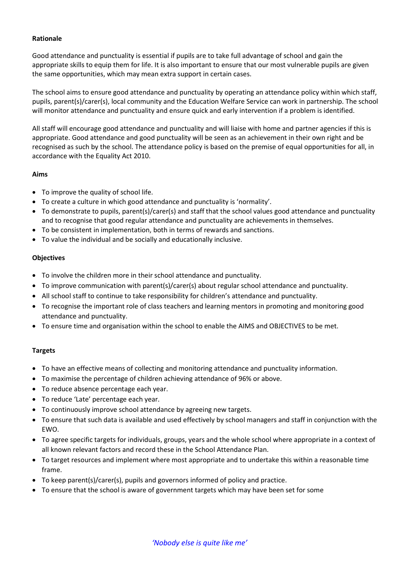### Rationale

Good attendance and punctuality is essential if pupils are to take full advantage of school and gain the appropriate skills to equip them for life. It is also important to ensure that our most vulnerable pupils are given the same opportunities, which may mean extra support in certain cases.

The school aims to ensure good attendance and punctuality by operating an attendance policy within which staff, pupils, parent(s)/carer(s), local community and the Education Welfare Service can work in partnership. The school will monitor attendance and punctuality and ensure quick and early intervention if a problem is identified.

All staff will encourage good attendance and punctuality and will liaise with home and partner agencies if this is appropriate. Good attendance and good punctuality will be seen as an achievement in their own right and be recognised as such by the school. The attendance policy is based on the premise of equal opportunities for all, in accordance with the Equality Act 2010.

### Aims

- To improve the quality of school life.
- To create a culture in which good attendance and punctuality is 'normality'.
- To demonstrate to pupils, parent(s)/carer(s) and staff that the school values good attendance and punctuality and to recognise that good regular attendance and punctuality are achievements in themselves.
- To be consistent in implementation, both in terms of rewards and sanctions.
- To value the individual and be socially and educationally inclusive.

## **Objectives**

- To involve the children more in their school attendance and punctuality.
- To improve communication with parent(s)/carer(s) about regular school attendance and punctuality.
- All school staff to continue to take responsibility for children's attendance and punctuality.
- To recognise the important role of class teachers and learning mentors in promoting and monitoring good attendance and punctuality.
- To ensure time and organisation within the school to enable the AIMS and OBJECTIVES to be met.

## Targets

- To have an effective means of collecting and monitoring attendance and punctuality information.
- To maximise the percentage of children achieving attendance of 96% or above.
- To reduce absence percentage each year.
- To reduce 'Late' percentage each year.
- To continuously improve school attendance by agreeing new targets.
- To ensure that such data is available and used effectively by school managers and staff in conjunction with the EWO.
- To agree specific targets for individuals, groups, years and the whole school where appropriate in a context of all known relevant factors and record these in the School Attendance Plan.
- To target resources and implement where most appropriate and to undertake this within a reasonable time frame.
- To keep parent(s)/carer(s), pupils and governors informed of policy and practice.
- To ensure that the school is aware of government targets which may have been set for some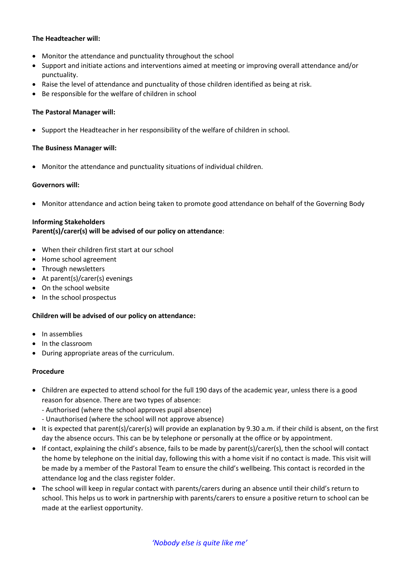### The Headteacher will:

- Monitor the attendance and punctuality throughout the school
- Support and initiate actions and interventions aimed at meeting or improving overall attendance and/or punctuality.
- Raise the level of attendance and punctuality of those children identified as being at risk.
- Be responsible for the welfare of children in school

#### The Pastoral Manager will:

• Support the Headteacher in her responsibility of the welfare of children in school.

#### The Business Manager will:

Monitor the attendance and punctuality situations of individual children.

### Governors will:

Monitor attendance and action being taken to promote good attendance on behalf of the Governing Body

### Informing Stakeholders

### Parent(s)/carer(s) will be advised of our policy on attendance:

- When their children first start at our school
- Home school agreement
- Through newsletters
- At parent(s)/carer(s) evenings
- On the school website
- In the school prospectus

#### Children will be advised of our policy on attendance:

- In assemblies
- In the classroom
- During appropriate areas of the curriculum.

#### Procedure

- Children are expected to attend school for the full 190 days of the academic year, unless there is a good reason for absence. There are two types of absence:
	- Authorised (where the school approves pupil absence)
	- Unauthorised (where the school will not approve absence)
- It is expected that parent(s)/carer(s) will provide an explanation by 9.30 a.m. if their child is absent, on the first day the absence occurs. This can be by telephone or personally at the office or by appointment.
- If contact, explaining the child's absence, fails to be made by parent(s)/carer(s), then the school will contact the home by telephone on the initial day, following this with a home visit if no contact is made. This visit will be made by a member of the Pastoral Team to ensure the child's wellbeing. This contact is recorded in the attendance log and the class register folder.
- The school will keep in regular contact with parents/carers during an absence until their child's return to school. This helps us to work in partnership with parents/carers to ensure a positive return to school can be made at the earliest opportunity.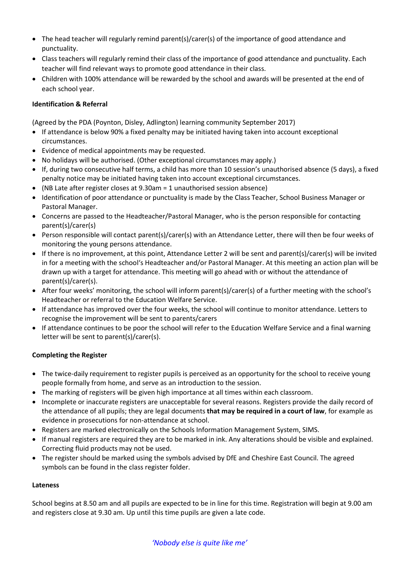- The head teacher will regularly remind parent(s)/carer(s) of the importance of good attendance and punctuality.
- Class teachers will regularly remind their class of the importance of good attendance and punctuality. Each teacher will find relevant ways to promote good attendance in their class.
- Children with 100% attendance will be rewarded by the school and awards will be presented at the end of each school year.

## Identification & Referral

(Agreed by the PDA (Poynton, Disley, Adlington) learning community September 2017)

- If attendance is below 90% a fixed penalty may be initiated having taken into account exceptional circumstances.
- Evidence of medical appointments may be requested.
- No holidays will be authorised. (Other exceptional circumstances may apply.)
- If, during two consecutive half terms, a child has more than 10 session's unauthorised absence (5 days), a fixed penalty notice may be initiated having taken into account exceptional circumstances.
- (NB Late after register closes at 9.30am = 1 unauthorised session absence)
- Identification of poor attendance or punctuality is made by the Class Teacher, School Business Manager or Pastoral Manager.
- Concerns are passed to the Headteacher/Pastoral Manager, who is the person responsible for contacting parent(s)/carer(s)
- Person responsible will contact parent(s)/carer(s) with an Attendance Letter, there will then be four weeks of monitoring the young persons attendance.
- If there is no improvement, at this point, Attendance Letter 2 will be sent and parent(s)/carer(s) will be invited in for a meeting with the school's Headteacher and/or Pastoral Manager. At this meeting an action plan will be drawn up with a target for attendance. This meeting will go ahead with or without the attendance of parent(s)/carer(s).
- After four weeks' monitoring, the school will inform parent(s)/carer(s) of a further meeting with the school's Headteacher or referral to the Education Welfare Service.
- If attendance has improved over the four weeks, the school will continue to monitor attendance. Letters to recognise the improvement will be sent to parents/carers
- If attendance continues to be poor the school will refer to the Education Welfare Service and a final warning letter will be sent to parent(s)/carer(s).

# Completing the Register

- The twice-daily requirement to register pupils is perceived as an opportunity for the school to receive young people formally from home, and serve as an introduction to the session.
- The marking of registers will be given high importance at all times within each classroom.
- Incomplete or inaccurate registers are unacceptable for several reasons. Registers provide the daily record of the attendance of all pupils; they are legal documents that may be required in a court of law, for example as evidence in prosecutions for non-attendance at school.
- Registers are marked electronically on the Schools Information Management System, SIMS.
- If manual registers are required they are to be marked in ink. Any alterations should be visible and explained. Correcting fluid products may not be used.
- The register should be marked using the symbols advised by DfE and Cheshire East Council. The agreed symbols can be found in the class register folder.

## Lateness

School begins at 8.50 am and all pupils are expected to be in line for this time. Registration will begin at 9.00 am and registers close at 9.30 am. Up until this time pupils are given a late code.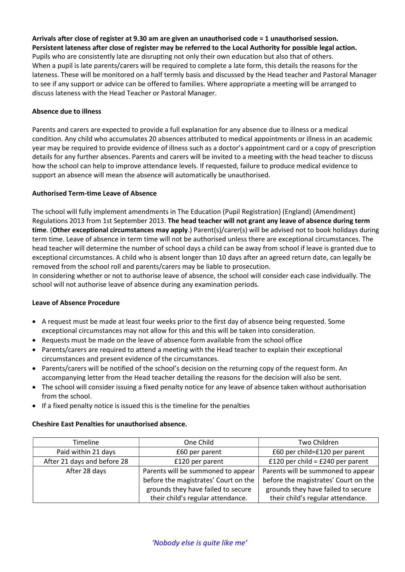Arrivals after close of register at 9.30 am are given an unauthorised code = 1 unauthorised session. Persistent lateness after close of register may be referred to the Local Authority for possible legal action. Pupils who are consistently late are disrupting not only their own education but also that of others. When a pupil is late parents/carers will be required to complete a late form, this details the reasons for the lateness. These will be monitored on a half termly basis and discussed by the Head teacher and Pastoral Manager to see if any support or advice can be offered to families. Where appropriate a meeting will be arranged to discuss lateness with the Head Teacher or Pastoral Manager.

## Absence due to illness

Parents and carers are expected to provide a full explanation for any absence due to illness or a medical condition. Any child who accumulates 20 absences attributed to medical appointments or illness in an academic year may be required to provide evidence of illness such as a doctor's appointment card or a copy of prescription details for any further absences. Parents and carers will be invited to a meeting with the head teacher to discuss how the school can help to improve attendance levels. If requested, failure to produce medical evidence to support an absence will mean the absence will automatically be unauthorised.

### Authorised Term-time Leave of Absence

The school will fully implement amendments in The Education (Pupil Registration) (England) (Amendment) Regulations 2013 from 1st September 2013. The head teacher will not grant any leave of absence during term time. (Other exceptional circumstances may apply.) Parent(s)/carer(s) will be advised not to book holidays during term time. Leave of absence in term time will not be authorised unless there are exceptional circumstances. The head teacher will determine the number of school days a child can be away from school if leave is granted due to exceptional circumstances. A child who is absent longer than 10 days after an agreed return date, can legally be removed from the school roll and parents/carers may be liable to prosecution.

In considering whether or not to authorise leave of absence, the school will consider each case individually. The school will not authorise leave of absence during any examination periods.

## Leave of Absence Procedure

- A request must be made at least four weeks prior to the first day of absence being requested. Some exceptional circumstances may not allow for this and this will be taken into consideration.
- Requests must be made on the leave of absence form available from the school office
- Parents/carers are required to attend a meeting with the Head teacher to explain their exceptional circumstances and present evidence of the circumstances.
- Parents/carers will be notified of the school's decision on the returning copy of the request form. An accompanying letter from the Head teacher detailing the reasons for the decision will also be sent.
- The school will consider issuing a fixed penalty notice for any leave of absence taken without authorisation from the school.
- If a fixed penalty notice is issued this is the timeline for the penalties

## Cheshire East Penalties for unauthorised absence.

| Timeline                    | One Child                            | Two Children                         |
|-----------------------------|--------------------------------------|--------------------------------------|
| Paid within 21 days         | £60 per parent                       | £60 per child=£120 per parent        |
| After 21 days and before 28 | £120 per parent                      | £120 per child = $£240$ per parent   |
| After 28 days               | Parents will be summoned to appear   | Parents will be summoned to appear   |
|                             | before the magistrates' Court on the | before the magistrates' Court on the |
|                             | grounds they have failed to secure   | grounds they have failed to secure   |
|                             | their child's regular attendance.    | their child's regular attendance.    |